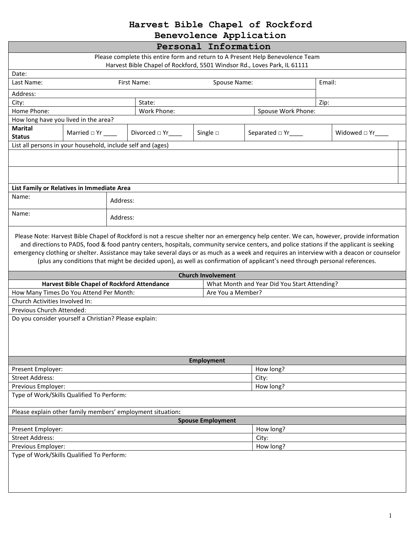## **Harvest Bible Chapel of Rockford**

**Benevolence Application**

| Personal Information                                                                                                                                                                                                                                                                                                                                                                                                 |                                                    |          |                                                            |                           |                                              |        |                       |  |  |
|----------------------------------------------------------------------------------------------------------------------------------------------------------------------------------------------------------------------------------------------------------------------------------------------------------------------------------------------------------------------------------------------------------------------|----------------------------------------------------|----------|------------------------------------------------------------|---------------------------|----------------------------------------------|--------|-----------------------|--|--|
| Please complete this entire form and return to A Present Help Benevolence Team<br>Harvest Bible Chapel of Rockford, 5501 Windsor Rd., Loves Park, IL 61111                                                                                                                                                                                                                                                           |                                                    |          |                                                            |                           |                                              |        |                       |  |  |
| Date:                                                                                                                                                                                                                                                                                                                                                                                                                |                                                    |          |                                                            |                           |                                              |        |                       |  |  |
| Last Name:                                                                                                                                                                                                                                                                                                                                                                                                           |                                                    |          | First Name:<br>Spouse Name:                                |                           |                                              | Email: |                       |  |  |
| Address:                                                                                                                                                                                                                                                                                                                                                                                                             |                                                    |          |                                                            |                           |                                              |        |                       |  |  |
| City:                                                                                                                                                                                                                                                                                                                                                                                                                |                                                    |          | State:                                                     |                           |                                              | Zip:   |                       |  |  |
| Home Phone:                                                                                                                                                                                                                                                                                                                                                                                                          |                                                    |          | Work Phone:<br>Spouse Work Phone:                          |                           |                                              |        |                       |  |  |
| How long have you lived in the area?                                                                                                                                                                                                                                                                                                                                                                                 |                                                    |          |                                                            |                           |                                              |        |                       |  |  |
| <b>Marital</b><br><b>Status</b>                                                                                                                                                                                                                                                                                                                                                                                      | Married $\Box$ Yr _______                          |          | Divorced $\Box$ Yr____                                     | Single $\square$          | Separated $\Box$ Yr____                      |        | Widowed $\Box$ Yr____ |  |  |
| List all persons in your household, include self and (ages)                                                                                                                                                                                                                                                                                                                                                          |                                                    |          |                                                            |                           |                                              |        |                       |  |  |
|                                                                                                                                                                                                                                                                                                                                                                                                                      |                                                    |          |                                                            |                           |                                              |        |                       |  |  |
|                                                                                                                                                                                                                                                                                                                                                                                                                      |                                                    |          |                                                            |                           |                                              |        |                       |  |  |
| List Family or Relatives in Immediate Area                                                                                                                                                                                                                                                                                                                                                                           |                                                    |          |                                                            |                           |                                              |        |                       |  |  |
| Name:                                                                                                                                                                                                                                                                                                                                                                                                                |                                                    | Address: |                                                            |                           |                                              |        |                       |  |  |
| Name:                                                                                                                                                                                                                                                                                                                                                                                                                | Address:                                           |          |                                                            |                           |                                              |        |                       |  |  |
| and directions to PADS, food & food pantry centers, hospitals, community service centers, and police stations if the applicant is seeking<br>emergency clothing or shelter. Assistance may take several days or as much as a week and requires an interview with a deacon or counselor<br>(plus any conditions that might be decided upon), as well as confirmation of applicant's need through personal references. |                                                    |          |                                                            |                           |                                              |        |                       |  |  |
|                                                                                                                                                                                                                                                                                                                                                                                                                      |                                                    |          |                                                            | <b>Church Involvement</b> |                                              |        |                       |  |  |
| How Many Times Do You Attend Per Month:                                                                                                                                                                                                                                                                                                                                                                              | <b>Harvest Bible Chapel of Rockford Attendance</b> |          |                                                            | Are You a Member?         | What Month and Year Did You Start Attending? |        |                       |  |  |
| Church Activities Involved In:                                                                                                                                                                                                                                                                                                                                                                                       |                                                    |          |                                                            |                           |                                              |        |                       |  |  |
| Previous Church Attended:                                                                                                                                                                                                                                                                                                                                                                                            |                                                    |          |                                                            |                           |                                              |        |                       |  |  |
| Do you consider yourself a Christian? Please explain:                                                                                                                                                                                                                                                                                                                                                                |                                                    |          |                                                            |                           |                                              |        |                       |  |  |
|                                                                                                                                                                                                                                                                                                                                                                                                                      |                                                    |          |                                                            | <b>Employment</b>         |                                              |        |                       |  |  |
| Present Employer:                                                                                                                                                                                                                                                                                                                                                                                                    |                                                    |          | How long?                                                  |                           |                                              |        |                       |  |  |
| <b>Street Address:</b>                                                                                                                                                                                                                                                                                                                                                                                               |                                                    |          |                                                            |                           | City:                                        |        |                       |  |  |
| Previous Employer:                                                                                                                                                                                                                                                                                                                                                                                                   |                                                    |          |                                                            |                           | How long?                                    |        |                       |  |  |
| Type of Work/Skills Qualified To Perform:                                                                                                                                                                                                                                                                                                                                                                            |                                                    |          |                                                            |                           |                                              |        |                       |  |  |
|                                                                                                                                                                                                                                                                                                                                                                                                                      |                                                    |          | Please explain other family members' employment situation: |                           |                                              |        |                       |  |  |
| <b>Spouse Employment</b>                                                                                                                                                                                                                                                                                                                                                                                             |                                                    |          |                                                            |                           |                                              |        |                       |  |  |
| Present Employer:                                                                                                                                                                                                                                                                                                                                                                                                    |                                                    |          |                                                            |                           | How long?                                    |        |                       |  |  |
| <b>Street Address:</b>                                                                                                                                                                                                                                                                                                                                                                                               |                                                    |          |                                                            |                           | City:                                        |        |                       |  |  |
| Previous Employer:                                                                                                                                                                                                                                                                                                                                                                                                   |                                                    |          |                                                            |                           | How long?                                    |        |                       |  |  |
| Type of Work/Skills Qualified To Perform:                                                                                                                                                                                                                                                                                                                                                                            |                                                    |          |                                                            |                           |                                              |        |                       |  |  |